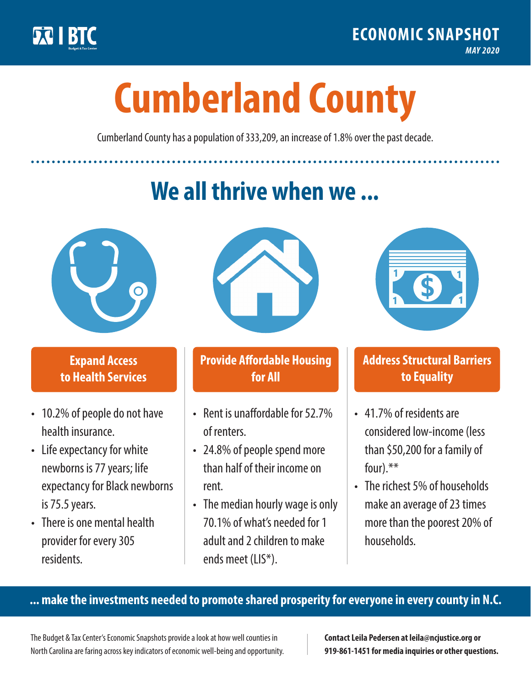

**1**

# **Cumberland County**

Cumberland County has a population of 333,209, an increase of 1.8% over the past decade.

# **We all thrive when we ...**



**\$ <sup>1</sup>**

**\$ <sup>1</sup>**

#### **Expand Access to Health Services**

- 10.2% of people do not have health insurance.
- Life expectancy for white newborns is 77 years; life expectancy for Black newborns is 75.5 years.
- There is one mental health provider for every 305 residents.



## **Provide Affordable Housing for All**

- Rent is unaffordable for 52.7% of renters.
- 24.8% of people spend more than half of their income on rent.
- The median hourly wage is only 70.1% of what's needed for 1 adult and 2 children to make ends meet (LIS\*).



## **Address Structural Barriers to Equality**

- 41.7% of residents are considered low-income (less than \$50,200 for a family of four).\*\*
- The richest 5% of households make an average of 23 times more than the poorest 20% of households.

#### **... make the investments needed to promote shared prosperity for everyone in every county in N.C.**

The Budget & Tax Center's Economic Snapshots provide a look at how well counties in North Carolina are faring across key indicators of economic well-being and opportunity.